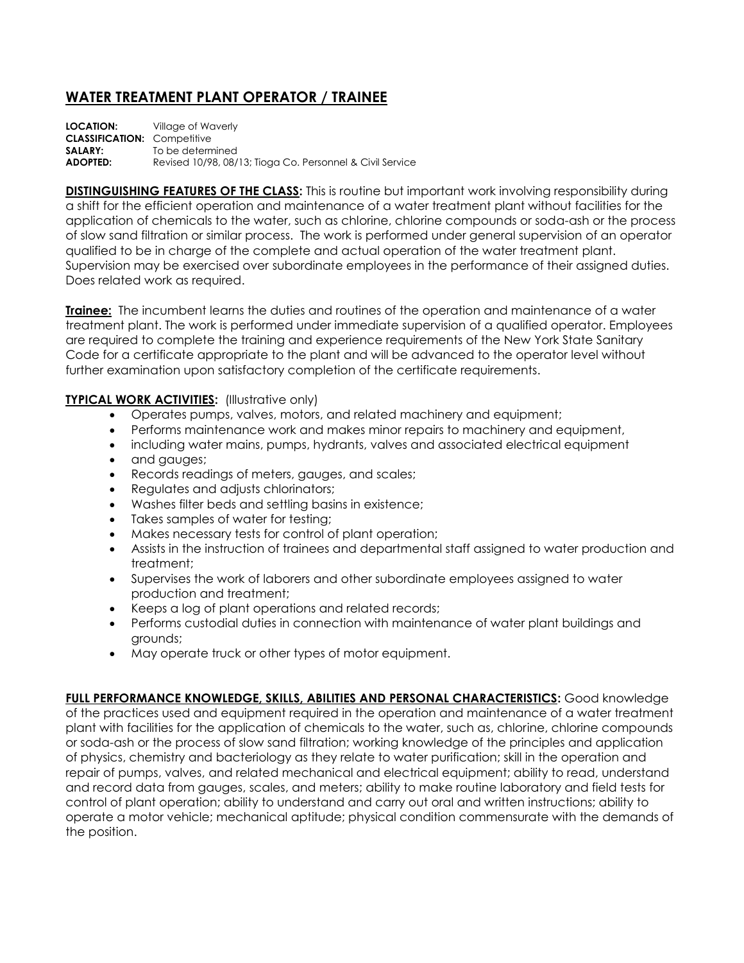## **WATER TREATMENT PLANT OPERATOR / TRAINEE**

| <b>LOCATION:</b>                   | Village of Waverly                                        |
|------------------------------------|-----------------------------------------------------------|
| <b>CLASSIFICATION: Competitive</b> |                                                           |
| <b>SALARY:</b>                     | To be determined                                          |
| <b>ADOPTED:</b>                    | Revised 10/98, 08/13; Tioga Co. Personnel & Civil Service |

**DISTINGUISHING FEATURES OF THE CLASS:** This is routine but important work involving responsibility during a shift for the efficient operation and maintenance of a water treatment plant without facilities for the application of chemicals to the water, such as chlorine, chlorine compounds or soda-ash or the process of slow sand filtration or similar process. The work is performed under general supervision of an operator qualified to be in charge of the complete and actual operation of the water treatment plant. Supervision may be exercised over subordinate employees in the performance of their assigned duties. Does related work as required.

**Trainee:** The incumbent learns the duties and routines of the operation and maintenance of a water treatment plant. The work is performed under immediate supervision of a qualified operator. Employees are required to complete the training and experience requirements of the New York State Sanitary Code for a certificate appropriate to the plant and will be advanced to the operator level without further examination upon satisfactory completion of the certificate requirements.

## **TYPICAL WORK ACTIVITIES:** (Illustrative only)

- Operates pumps, valves, motors, and related machinery and equipment;
- Performs maintenance work and makes minor repairs to machinery and equipment,
- including water mains, pumps, hydrants, valves and associated electrical equipment
- and gauges;
- Records readings of meters, gauges, and scales;
- Regulates and adjusts chlorinators;
- Washes filter beds and settling basins in existence;
- Takes samples of water for testing;
- Makes necessary tests for control of plant operation;
- Assists in the instruction of trainees and departmental staff assigned to water production and treatment;
- Supervises the work of laborers and other subordinate employees assigned to water production and treatment;
- Keeps a log of plant operations and related records;
- Performs custodial duties in connection with maintenance of water plant buildings and grounds;
- May operate truck or other types of motor equipment.

**FULL PERFORMANCE KNOWLEDGE, SKILLS, ABILITIES AND PERSONAL CHARACTERISTICS:** Good knowledge of the practices used and equipment required in the operation and maintenance of a water treatment plant with facilities for the application of chemicals to the water, such as, chlorine, chlorine compounds or soda-ash or the process of slow sand filtration; working knowledge of the principles and application of physics, chemistry and bacteriology as they relate to water purification; skill in the operation and repair of pumps, valves, and related mechanical and electrical equipment; ability to read, understand and record data from gauges, scales, and meters; ability to make routine laboratory and field tests for control of plant operation; ability to understand and carry out oral and written instructions; ability to operate a motor vehicle; mechanical aptitude; physical condition commensurate with the demands of the position.